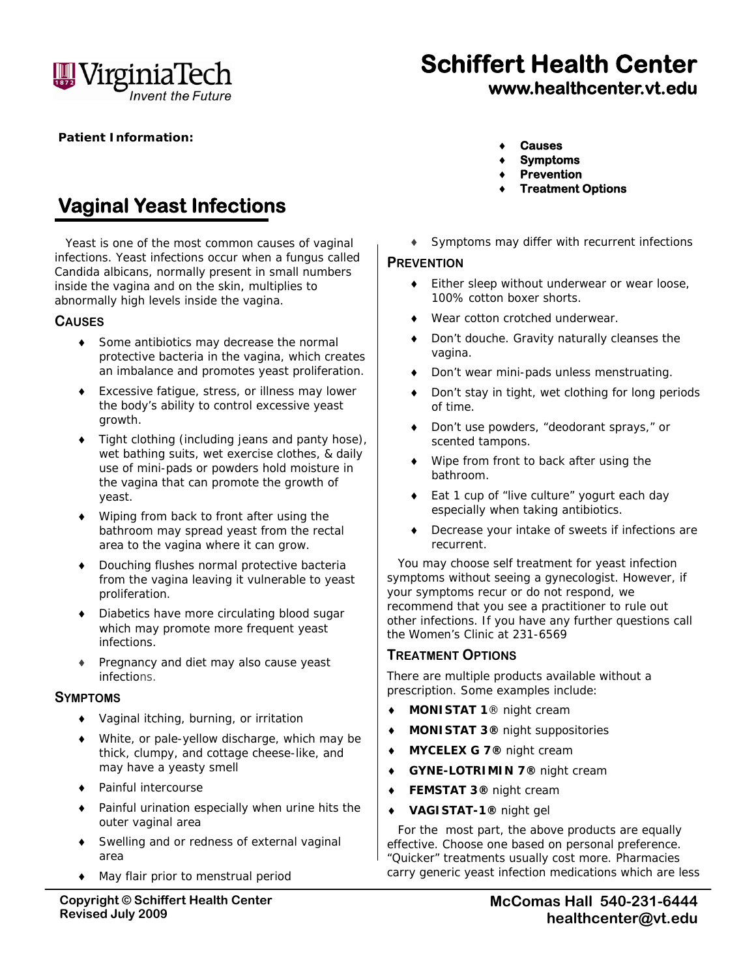

# **Schiffert Health Center www.healthcenter.vt.edu**

**Patient Information:** 

## **Vaginal Yeast Infections**

Yeast is one of the most common causes of vaginal infections. Yeast infections occur when a fungus called *Candida albicans*, normally present in small numbers inside the vagina and on the skin, multiplies to abnormally high levels inside the vagina.

#### **CAUSES**

- ◆ Some antibiotics may decrease the normal protective bacteria in the vagina, which creates an imbalance and promotes yeast proliferation.
- Excessive fatigue, stress, or illness may lower the body's ability to control excessive yeast growth.
- ◆ Tight clothing (including jeans and panty hose), wet bathing suits, wet exercise clothes, & daily use of mini-pads or powders hold moisture in the vagina that can promote the growth of yeast.
- Wiping from back to front after using the bathroom may spread yeast from the rectal area to the vagina where it can grow.
- ◆ Douching flushes normal protective bacteria from the vagina leaving it vulnerable to yeast proliferation.
- Diabetics have more circulating blood sugar which may promote more frequent yeast infections.
- Pregnancy and diet may also cause yeast infections.

#### **SYMPTOMS**

- Vaginal itching, burning, or irritation
- White, or pale-yellow discharge, which may be thick, clumpy, and cottage cheese-like, and may have a yeasty smell
- ◆ Painful intercourse
- Painful urination especially when urine hits the outer vaginal area
- Swelling and or redness of external vaginal area
- May flair prior to menstrual period
- **Copyright © Schiffert Health Center Revised July 2009**
- **Causes**
- **Symptoms**
- **Prevention**
- **Treatment Options**
- Symptoms may differ with recurrent infections

#### **PREVENTION**

- ◆ Either sleep without underwear or wear loose, 100% cotton boxer shorts.
- Wear cotton crotched underwear.
- ◆ Don't douche. Gravity naturally cleanses the vagina.
- Don't wear mini-pads unless menstruating.
- Don't stay in tight, wet clothing for long periods of time.
- Don't use powders, "deodorant sprays," or scented tampons.
- Wipe from front to back after using the bathroom.
- Eat 1 cup of "live culture" yogurt each day especially when taking antibiotics.
- Decrease your intake of sweets if infections are recurrent.

You may choose self treatment for yeast infection symptoms without seeing a gynecologist. However, if your symptoms recur or do not respond, we recommend that you see a practitioner to rule out other infections. If you have any further questions call the Women's Clinic at 231-6569

### **TREATMENT OPTIONS**

There are multiple products available without a prescription. Some examples include:

- **MONISTAT 1**® night cream
- **MONISTAT 3®** night suppositories
- **MYCELEX G 7®** night cream
- **GYNE-LOTRIMIN 7®** night cream
- **FEMSTAT 3®** night cream
- **VAGISTAT-1®** night gel

For the most part, the above products are equally effective. Choose one based on personal preference. "Quicker" treatments usually cost more. Pharmacies carry generic yeast infection medications which are less